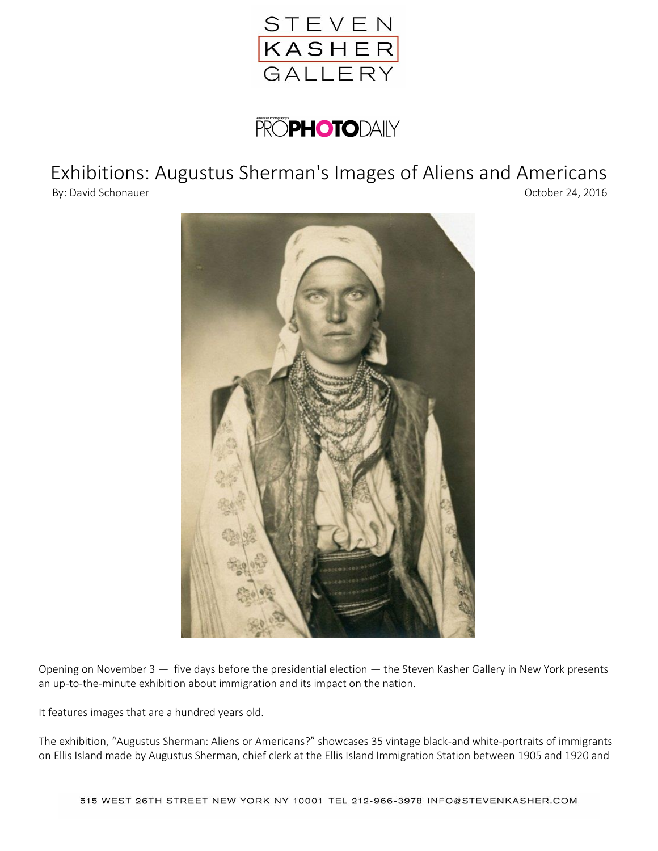

## **PROPHOTODAILY**

## Exhibitions: Augustus Sherman's Images of Aliens and Americans



Opening on November 3 — five days before the presidential election — the Steven Kasher Gallery in New York presents an up-to-the-minute exhibition about immigration and its impact on the nation.

It features images that are a hundred years old.

The exhibition, "Augustus Sherman: Aliens or Americans?" showcases 35 vintage black-and white-portraits of immigrants on Ellis Island made by Augustus Sherman, chief clerk at the Ellis Island Immigration Station between 1905 and 1920 and